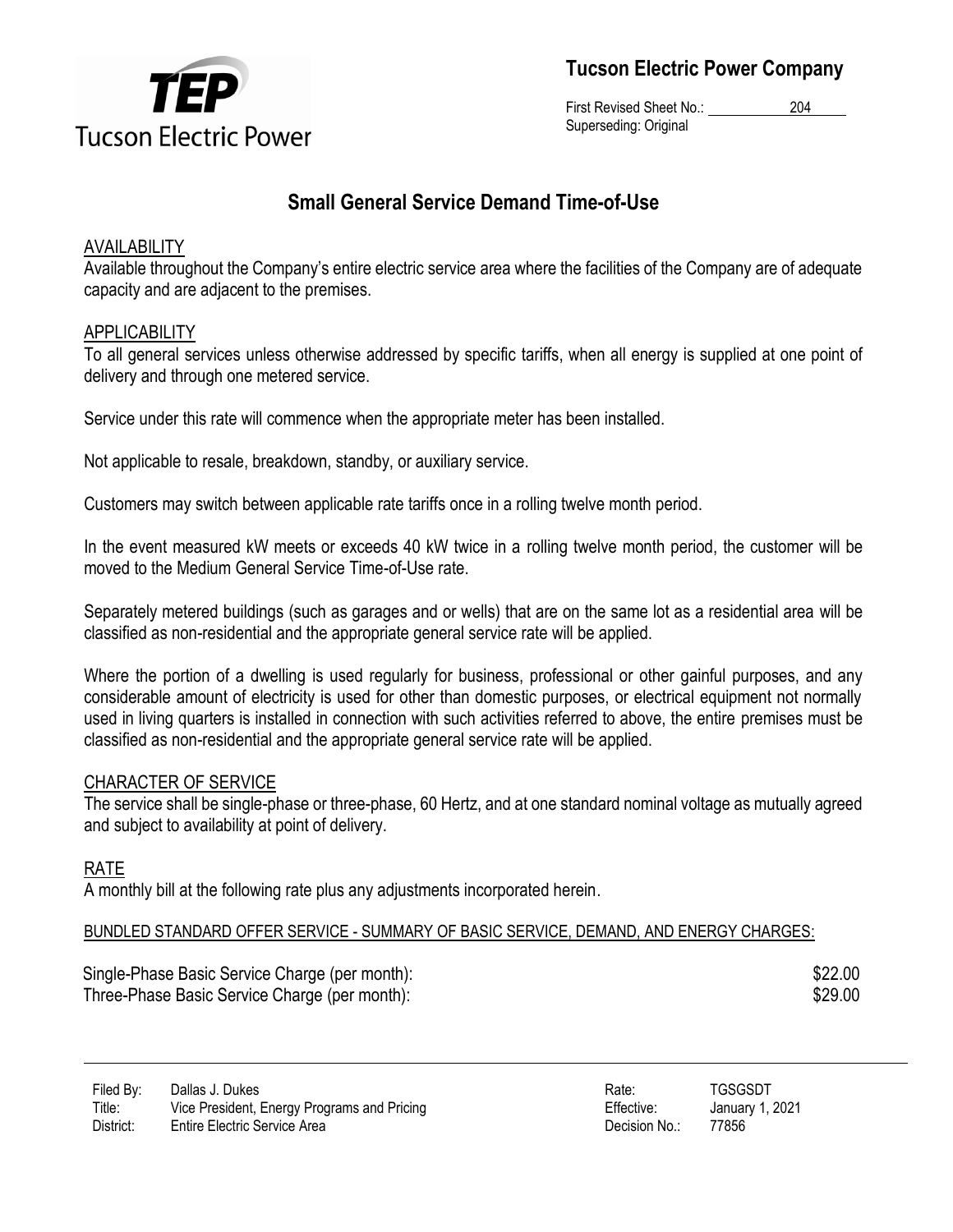

**Tucson Electric Power Company**

First Revised Sheet No.: 204 Superseding: Original

## **Small General Service Demand Time-of-Use**

## AVAILABILITY

Available throughout the Company's entire electric service area where the facilities of the Company are of adequate capacity and are adjacent to the premises.

## APPLICABILITY

To all general services unless otherwise addressed by specific tariffs, when all energy is supplied at one point of delivery and through one metered service.

Service under this rate will commence when the appropriate meter has been installed.

Not applicable to resale, breakdown, standby, or auxiliary service.

Customers may switch between applicable rate tariffs once in a rolling twelve month period.

In the event measured kW meets or exceeds 40 kW twice in a rolling twelve month period, the customer will be moved to the Medium General Service Time-of-Use rate.

Separately metered buildings (such as garages and or wells) that are on the same lot as a residential area will be classified as non-residential and the appropriate general service rate will be applied.

Where the portion of a dwelling is used regularly for business, professional or other gainful purposes, and any considerable amount of electricity is used for other than domestic purposes, or electrical equipment not normally used in living quarters is installed in connection with such activities referred to above, the entire premises must be classified as non-residential and the appropriate general service rate will be applied.

## CHARACTER OF SERVICE

The service shall be single-phase or three-phase, 60 Hertz, and at one standard nominal voltage as mutually agreed and subject to availability at point of delivery.

#### RATE

A monthly bill at the following rate plus any adjustments incorporated herein.

#### BUNDLED STANDARD OFFER SERVICE - SUMMARY OF BASIC SERVICE, DEMAND, AND ENERGY CHARGES:

Single-Phase Basic Service Charge (per month):  $$22.00$ Three-Phase Basic Service Charge (per month):  $$29.00$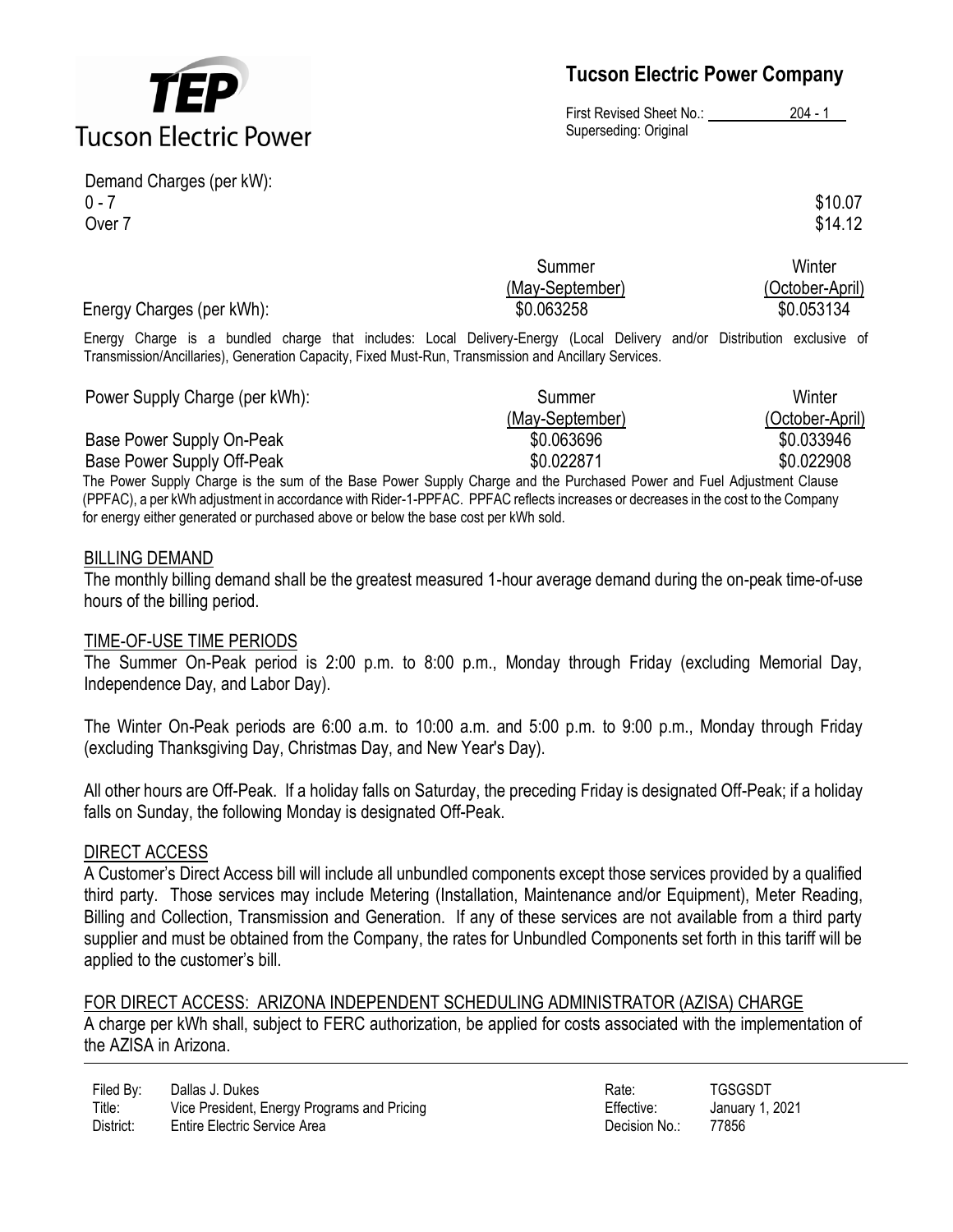

Demand Charges (per kW):  $0 - 7$  \$10.07 Over  $7 \hspace{20mm}$ \$14.12

# **Tucson Electric Power Company**

First Revised Sheet No.: 204 - 1 Superseding: Original

|                           | Summer          | Winter          |
|---------------------------|-----------------|-----------------|
|                           | (May-September) | (October-April) |
| Energy Charges (per kWh): | \$0.063258      | \$0.053134      |
|                           |                 |                 |

Energy Charge is a bundled charge that includes: Local Delivery-Energy (Local Delivery and/or Distribution exclusive of Transmission/Ancillaries), Generation Capacity, Fixed Must-Run, Transmission and Ancillary Services.

| Power Supply Charge (per kWh): | Summer          | Winter          |
|--------------------------------|-----------------|-----------------|
|                                | (May-September) | (October-April) |
| Base Power Supply On-Peak      | \$0.063696      | \$0.033946      |
| Base Power Supply Off-Peak     | \$0.022871      | \$0.022908      |

The Power Supply Charge is the sum of the Base Power Supply Charge and the Purchased Power and Fuel Adjustment Clause (PPFAC), a per kWh adjustment in accordance with Rider-1-PPFAC. PPFAC reflects increases or decreases in the cost to the Company for energy either generated or purchased above or below the base cost per kWh sold.

#### BILLING DEMAND

The monthly billing demand shall be the greatest measured 1-hour average demand during the on-peak time-of-use hours of the billing period.

#### TIME-OF-USE TIME PERIODS

The Summer On-Peak period is 2:00 p.m. to 8:00 p.m., Monday through Friday (excluding Memorial Day, Independence Day, and Labor Day).

The Winter On-Peak periods are 6:00 a.m. to 10:00 a.m. and 5:00 p.m. to 9:00 p.m., Monday through Friday (excluding Thanksgiving Day, Christmas Day, and New Year's Day).

All other hours are Off-Peak. If a holiday falls on Saturday, the preceding Friday is designated Off-Peak; if a holiday falls on Sunday, the following Monday is designated Off-Peak.

#### DIRECT ACCESS

A Customer's Direct Access bill will include all unbundled components except those services provided by a qualified third party. Those services may include Metering (Installation, Maintenance and/or Equipment), Meter Reading, Billing and Collection, Transmission and Generation. If any of these services are not available from a third party supplier and must be obtained from the Company, the rates for Unbundled Components set forth in this tariff will be applied to the customer's bill.

FOR DIRECT ACCESS: ARIZONA INDEPENDENT SCHEDULING ADMINISTRATOR (AZISA) CHARGE A charge per kWh shall, subject to FERC authorization, be applied for costs associated with the implementation of the AZISA in Arizona.

| Filed By: | Dallas J. Dukes                             | Rate:         | TGSGSDT    |
|-----------|---------------------------------------------|---------------|------------|
| Title:    | Vice President, Energy Programs and Pricing | Effective:    | January 1, |
| District: | Entire Electric Service Area                | Decision No.: | 77856      |

Effective: January 1, 2021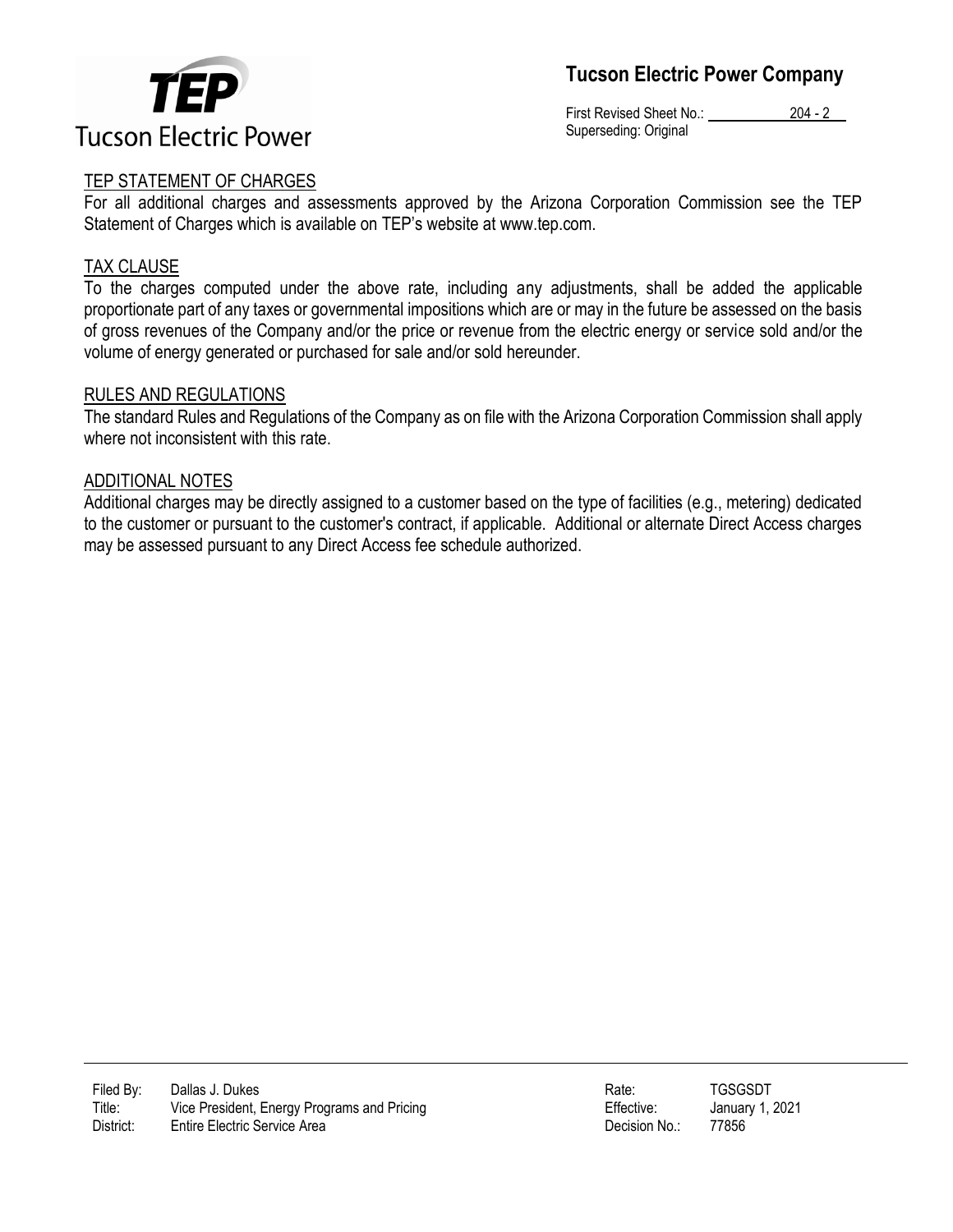



First Revised Sheet No.: 204 - 2 Superseding: Original

#### TEP STATEMENT OF CHARGES

For all additional charges and assessments approved by the Arizona Corporation Commission see the TEP Statement of Charges which is available on TEP's website at www.tep.com.

#### TAX CLAUSE

To the charges computed under the above rate, including any adjustments, shall be added the applicable proportionate part of any taxes or governmental impositions which are or may in the future be assessed on the basis of gross revenues of the Company and/or the price or revenue from the electric energy or service sold and/or the volume of energy generated or purchased for sale and/or sold hereunder.

#### RULES AND REGULATIONS

The standard Rules and Regulations of the Company as on file with the Arizona Corporation Commission shall apply where not inconsistent with this rate.

#### ADDITIONAL NOTES

Additional charges may be directly assigned to a customer based on the type of facilities (e.g., metering) dedicated to the customer or pursuant to the customer's contract, if applicable. Additional or alternate Direct Access charges may be assessed pursuant to any Direct Access fee schedule authorized.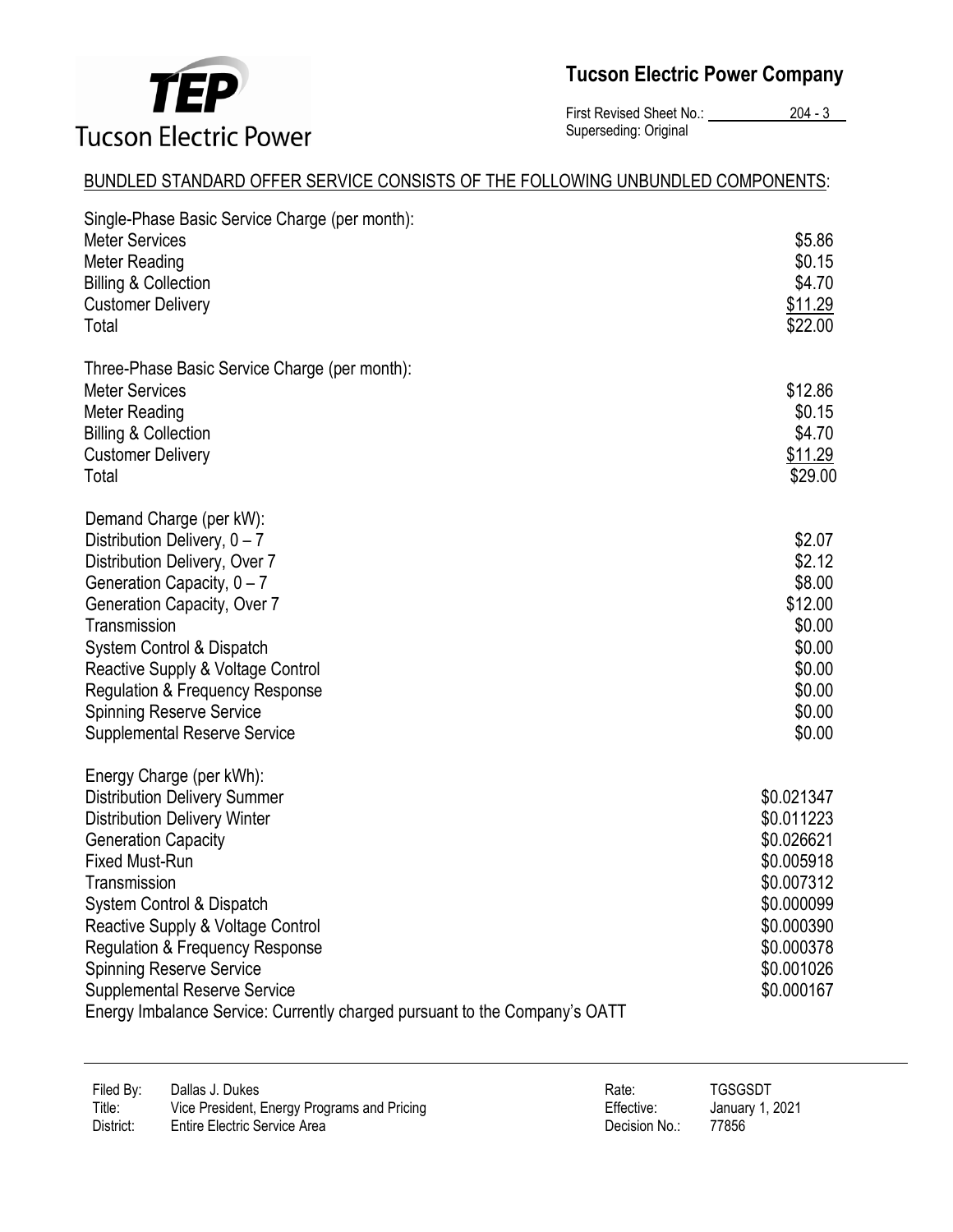

**Tucson Electric Power Company**

First Revised Sheet No.: 204 - 3 Superseding: Original

### BUNDLED STANDARD OFFER SERVICE CONSISTS OF THE FOLLOWING UNBUNDLED COMPONENTS:

| Single-Phase Basic Service Charge (per month):<br><b>Meter Services</b><br><b>Meter Reading</b><br><b>Billing &amp; Collection</b><br><b>Customer Delivery</b><br>Total                                                                                                                                                                                                                                                                               | \$5.86<br>\$0.15<br>\$4.70<br>\$11.29<br>\$22.00                                                                                         |
|-------------------------------------------------------------------------------------------------------------------------------------------------------------------------------------------------------------------------------------------------------------------------------------------------------------------------------------------------------------------------------------------------------------------------------------------------------|------------------------------------------------------------------------------------------------------------------------------------------|
| Three-Phase Basic Service Charge (per month):<br><b>Meter Services</b><br><b>Meter Reading</b><br><b>Billing &amp; Collection</b><br><b>Customer Delivery</b><br>Total                                                                                                                                                                                                                                                                                | \$12.86<br>\$0.15<br>\$4.70<br>\$11.29<br>\$29.00                                                                                        |
| Demand Charge (per kW):<br>Distribution Delivery, $0 - 7$<br>Distribution Delivery, Over 7<br>Generation Capacity, $0 - 7$<br>Generation Capacity, Over 7<br>Transmission<br>System Control & Dispatch<br>Reactive Supply & Voltage Control<br><b>Regulation &amp; Frequency Response</b><br><b>Spinning Reserve Service</b><br><b>Supplemental Reserve Service</b>                                                                                   | \$2.07<br>\$2.12<br>\$8.00<br>\$12.00<br>\$0.00<br>\$0.00<br>\$0.00<br>\$0.00<br>\$0.00<br>\$0.00                                        |
| Energy Charge (per kWh):<br><b>Distribution Delivery Summer</b><br><b>Distribution Delivery Winter</b><br><b>Generation Capacity</b><br><b>Fixed Must-Run</b><br>Transmission<br>System Control & Dispatch<br>Reactive Supply & Voltage Control<br><b>Regulation &amp; Frequency Response</b><br><b>Spinning Reserve Service</b><br><b>Supplemental Reserve Service</b><br>Energy Imbalance Service: Currently charged pursuant to the Company's OATT | \$0.021347<br>\$0.011223<br>\$0.026621<br>\$0.005918<br>\$0.007312<br>\$0.000099<br>\$0.000390<br>\$0.000378<br>\$0.001026<br>\$0.000167 |

| Filed By:<br>Dallas J. Dukes<br>Title:<br>Vice President, Energy Programs and Pricing<br>District:<br>Entire Electric Service Area | Rate:<br>Effective:<br>Decision No.: | TGSGSDT<br>January 1, 2021<br>77856 |
|------------------------------------------------------------------------------------------------------------------------------------|--------------------------------------|-------------------------------------|
|------------------------------------------------------------------------------------------------------------------------------------|--------------------------------------|-------------------------------------|